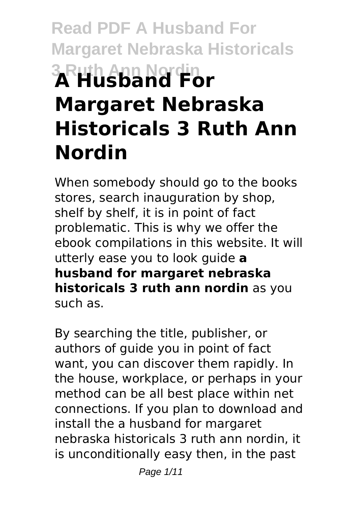# **Read PDF A Husband For Margaret Nebraska Historicals 3 Ruth Ann Nordin A Husband For Margaret Nebraska Historicals 3 Ruth Ann Nordin**

When somebody should go to the books stores, search inauguration by shop, shelf by shelf, it is in point of fact problematic. This is why we offer the ebook compilations in this website. It will utterly ease you to look guide **a husband for margaret nebraska historicals 3 ruth ann nordin** as you such as.

By searching the title, publisher, or authors of guide you in point of fact want, you can discover them rapidly. In the house, workplace, or perhaps in your method can be all best place within net connections. If you plan to download and install the a husband for margaret nebraska historicals 3 ruth ann nordin, it is unconditionally easy then, in the past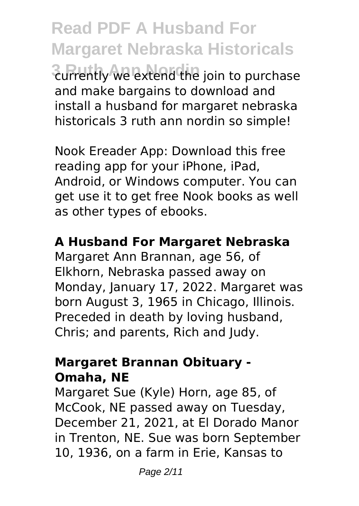**Read PDF A Husband For Margaret Nebraska Historicals 3 Ruth Ann Nordin** currently we extend the join to purchase and make bargains to download and install a husband for margaret nebraska historicals 3 ruth ann nordin so simple!

Nook Ereader App: Download this free reading app for your iPhone, iPad, Android, or Windows computer. You can get use it to get free Nook books as well as other types of ebooks.

#### **A Husband For Margaret Nebraska**

Margaret Ann Brannan, age 56, of Elkhorn, Nebraska passed away on Monday, January 17, 2022. Margaret was born August 3, 1965 in Chicago, Illinois. Preceded in death by loving husband, Chris; and parents, Rich and Judy.

#### **Margaret Brannan Obituary - Omaha, NE**

Margaret Sue (Kyle) Horn, age 85, of McCook, NE passed away on Tuesday, December 21, 2021, at El Dorado Manor in Trenton, NE. Sue was born September 10, 1936, on a farm in Erie, Kansas to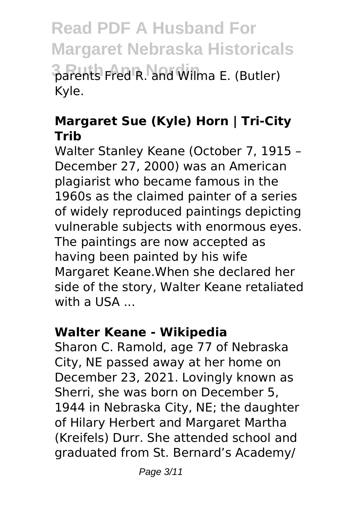**Read PDF A Husband For Margaret Nebraska Historicals 3 Ruth Ann Nordin** parents Fred R. and Wilma E. (Butler) Kyle.

#### **Margaret Sue (Kyle) Horn | Tri-City Trib**

Walter Stanley Keane (October 7, 1915 – December 27, 2000) was an American plagiarist who became famous in the 1960s as the claimed painter of a series of widely reproduced paintings depicting vulnerable subjects with enormous eyes. The paintings are now accepted as having been painted by his wife Margaret Keane.When she declared her side of the story, Walter Keane retaliated with a USA ...

#### **Walter Keane - Wikipedia**

Sharon C. Ramold, age 77 of Nebraska City, NE passed away at her home on December 23, 2021. Lovingly known as Sherri, she was born on December 5, 1944 in Nebraska City, NE; the daughter of Hilary Herbert and Margaret Martha (Kreifels) Durr. She attended school and graduated from St. Bernard's Academy/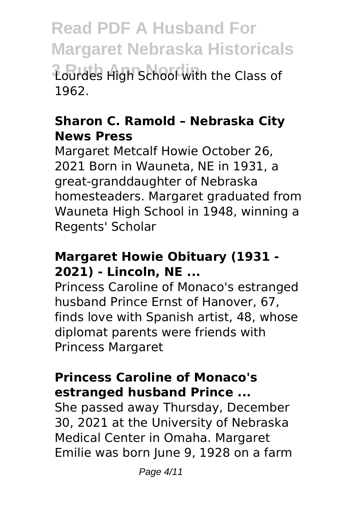**Read PDF A Husband For Margaret Nebraska Historicals 3 Ruth Ann Nordin** Lourdes High School with the Class of 1962.

#### **Sharon C. Ramold – Nebraska City News Press**

Margaret Metcalf Howie October 26, 2021 Born in Wauneta, NE in 1931, a great-granddaughter of Nebraska homesteaders. Margaret graduated from Wauneta High School in 1948, winning a Regents' Scholar

#### **Margaret Howie Obituary (1931 - 2021) - Lincoln, NE ...**

Princess Caroline of Monaco's estranged husband Prince Ernst of Hanover, 67, finds love with Spanish artist, 48, whose diplomat parents were friends with Princess Margaret

#### **Princess Caroline of Monaco's estranged husband Prince ...**

She passed away Thursday, December 30, 2021 at the University of Nebraska Medical Center in Omaha. Margaret Emilie was born June 9, 1928 on a farm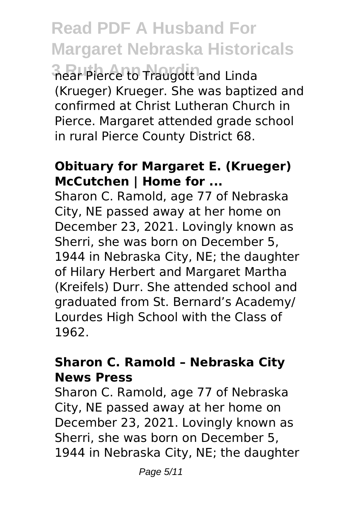**Read PDF A Husband For Margaret Nebraska Historicals**

**3 Ruth Ann Nordin** near Pierce to Traugott and Linda (Krueger) Krueger. She was baptized and confirmed at Christ Lutheran Church in Pierce. Margaret attended grade school in rural Pierce County District 68.

#### **Obituary for Margaret E. (Krueger) McCutchen | Home for ...**

Sharon C. Ramold, age 77 of Nebraska City, NE passed away at her home on December 23, 2021. Lovingly known as Sherri, she was born on December 5, 1944 in Nebraska City, NE; the daughter of Hilary Herbert and Margaret Martha (Kreifels) Durr. She attended school and graduated from St. Bernard's Academy/ Lourdes High School with the Class of 1962.

#### **Sharon C. Ramold – Nebraska City News Press**

Sharon C. Ramold, age 77 of Nebraska City, NE passed away at her home on December 23, 2021. Lovingly known as Sherri, she was born on December 5, 1944 in Nebraska City, NE; the daughter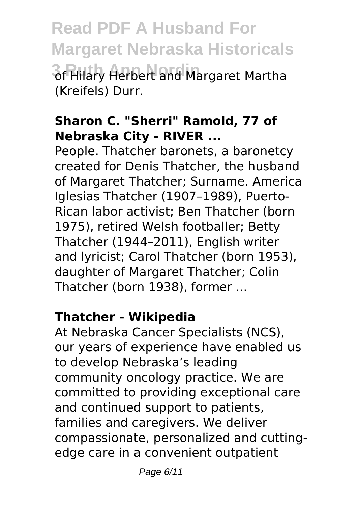**Read PDF A Husband For Margaret Nebraska Historicals 3 Ruth Ann Nordin** of Hilary Herbert and Margaret Martha (Kreifels) Durr.

#### **Sharon C. "Sherri" Ramold, 77 of Nebraska City - RIVER ...**

People. Thatcher baronets, a baronetcy created for Denis Thatcher, the husband of Margaret Thatcher; Surname. America Iglesias Thatcher (1907–1989), Puerto-Rican labor activist; Ben Thatcher (born 1975), retired Welsh footballer; Betty Thatcher (1944–2011), English writer and lyricist; Carol Thatcher (born 1953), daughter of Margaret Thatcher; Colin Thatcher (born 1938), former ...

#### **Thatcher - Wikipedia**

At Nebraska Cancer Specialists (NCS), our years of experience have enabled us to develop Nebraska's leading community oncology practice. We are committed to providing exceptional care and continued support to patients, families and caregivers. We deliver compassionate, personalized and cuttingedge care in a convenient outpatient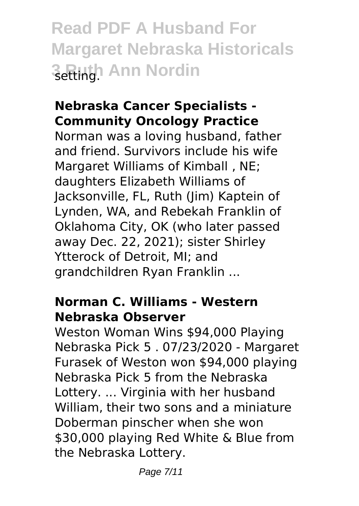**Read PDF A Husband For Margaret Nebraska Historicals 3 Ruth Ann Nordin** 

#### **Nebraska Cancer Specialists - Community Oncology Practice**

Norman was a loving husband, father and friend. Survivors include his wife Margaret Williams of Kimball , NE; daughters Elizabeth Williams of Jacksonville, FL, Ruth (Jim) Kaptein of Lynden, WA, and Rebekah Franklin of Oklahoma City, OK (who later passed away Dec. 22, 2021); sister Shirley Ytterock of Detroit, MI; and grandchildren Ryan Franklin ...

#### **Norman C. Williams - Western Nebraska Observer**

Weston Woman Wins \$94,000 Playing Nebraska Pick 5 . 07/23/2020 - Margaret Furasek of Weston won \$94,000 playing Nebraska Pick 5 from the Nebraska Lottery. ... Virginia with her husband William, their two sons and a miniature Doberman pinscher when she won \$30,000 playing Red White & Blue from the Nebraska Lottery.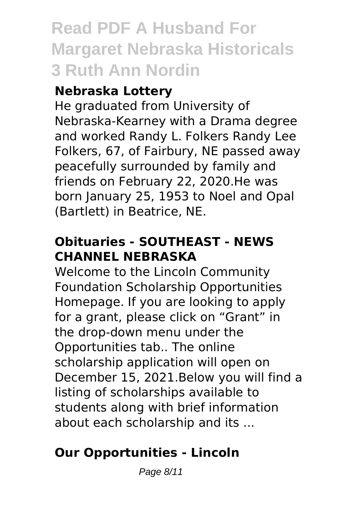### **Read PDF A Husband For Margaret Nebraska Historicals 3 Ruth Ann Nordin**

#### **Nebraska Lottery**

He graduated from University of Nebraska-Kearney with a Drama degree and worked Randy L. Folkers Randy Lee Folkers, 67, of Fairbury, NE passed away peacefully surrounded by family and friends on February 22, 2020.He was born January 25, 1953 to Noel and Opal (Bartlett) in Beatrice, NE.

#### **Obituaries - SOUTHEAST - NEWS CHANNEL NEBRASKA**

Welcome to the Lincoln Community Foundation Scholarship Opportunities Homepage. If you are looking to apply for a grant, please click on "Grant" in the drop-down menu under the Opportunities tab.. The online scholarship application will open on December 15, 2021.Below you will find a listing of scholarships available to students along with brief information about each scholarship and its ...

#### **Our Opportunities - Lincoln**

Page 8/11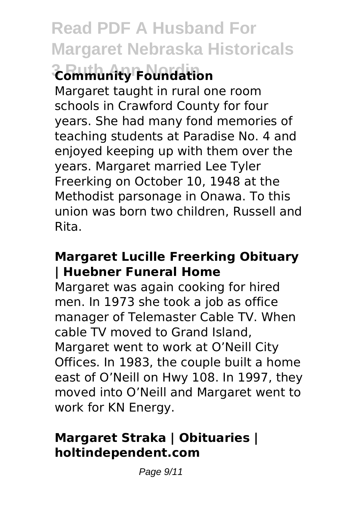## **Read PDF A Husband For Margaret Nebraska Historicals**

# **3 Ruth Ann Nordin Community Foundation**

Margaret taught in rural one room schools in Crawford County for four years. She had many fond memories of teaching students at Paradise No. 4 and enjoyed keeping up with them over the years. Margaret married Lee Tyler Freerking on October 10, 1948 at the Methodist parsonage in Onawa. To this union was born two children, Russell and Rita.

#### **Margaret Lucille Freerking Obituary | Huebner Funeral Home**

Margaret was again cooking for hired men. In 1973 she took a job as office manager of Telemaster Cable TV. When cable TV moved to Grand Island, Margaret went to work at O'Neill City Offices. In 1983, the couple built a home east of O'Neill on Hwy 108. In 1997, they moved into O'Neill and Margaret went to work for KN Energy.

#### **Margaret Straka | Obituaries | holtindependent.com**

Page 9/11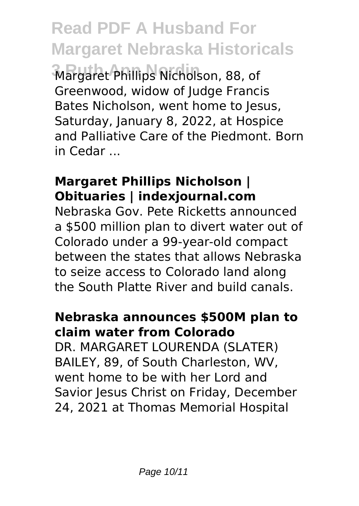**Read PDF A Husband For Margaret Nebraska Historicals**

**3 Ruth Ann Nordin** Margaret Phillips Nicholson, 88, of Greenwood, widow of Judge Francis Bates Nicholson, went home to Jesus, Saturday, January 8, 2022, at Hospice and Palliative Care of the Piedmont. Born in Cedar ...

#### **Margaret Phillips Nicholson | Obituaries | indexjournal.com**

Nebraska Gov. Pete Ricketts announced a \$500 million plan to divert water out of Colorado under a 99-year-old compact between the states that allows Nebraska to seize access to Colorado land along the South Platte River and build canals.

#### **Nebraska announces \$500M plan to claim water from Colorado**

DR. MARGARET LOURENDA (SLATER) BAILEY, 89, of South Charleston, WV, went home to be with her Lord and Savior Jesus Christ on Friday, December 24, 2021 at Thomas Memorial Hospital